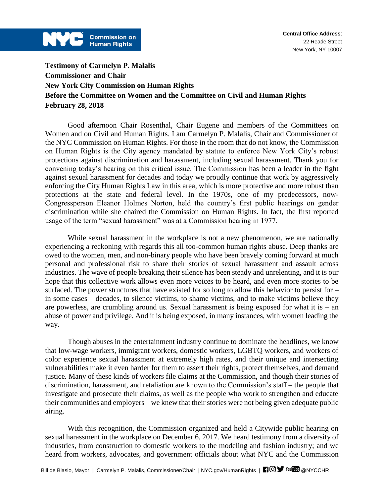

**Testimony of Carmelyn P. Malalis Commissioner and Chair New York City Commission on Human Rights Before the Committee on Women and the Committee on Civil and Human Rights February 28, 2018**

Good afternoon Chair Rosenthal, Chair Eugene and members of the Committees on Women and on Civil and Human Rights. I am Carmelyn P. Malalis, Chair and Commissioner of the NYC Commission on Human Rights. For those in the room that do not know, the Commission on Human Rights is the City agency mandated by statute to enforce New York City's robust protections against discrimination and harassment, including sexual harassment. Thank you for convening today's hearing on this critical issue. The Commission has been a leader in the fight against sexual harassment for decades and today we proudly continue that work by aggressively enforcing the City Human Rights Law in this area, which is more protective and more robust than protections at the state and federal level. In the 1970s, one of my predecessors, now-Congressperson Eleanor Holmes Norton, held the country's first public hearings on gender discrimination while she chaired the Commission on Human Rights. In fact, the first reported usage of the term "sexual harassment" was at a Commission hearing in 1977.

While sexual harassment in the workplace is not a new phenomenon, we are nationally experiencing a reckoning with regards this all too-common human rights abuse. Deep thanks are owed to the women, men, and non-binary people who have been bravely coming forward at much personal and professional risk to share their stories of sexual harassment and assault across industries. The wave of people breaking their silence has been steady and unrelenting, and it is our hope that this collective work allows even more voices to be heard, and even more stories to be surfaced. The power structures that have existed for so long to allow this behavior to persist for – in some cases – decades, to silence victims, to shame victims, and to make victims believe they are powerless, are crumbling around us. Sexual harassment is being exposed for what it is – an abuse of power and privilege. And it is being exposed, in many instances, with women leading the way.

Though abuses in the entertainment industry continue to dominate the headlines, we know that low-wage workers, immigrant workers, domestic workers, LGBTQ workers, and workers of color experience sexual harassment at extremely high rates, and their unique and intersecting vulnerabilities make it even harder for them to assert their rights, protect themselves, and demand justice. Many of these kinds of workers file claims at the Commission, and though their stories of discrimination, harassment, and retaliation are known to the Commission's staff – the people that investigate and prosecute their claims, as well as the people who work to strengthen and educate their communities and employers – we knew that their stories were not being given adequate public airing.

With this recognition, the Commission organized and held a Citywide public hearing on sexual harassment in the workplace on December 6, 2017. We heard testimony from a diversity of industries, from construction to domestic workers to the modeling and fashion industry; and we heard from workers, advocates, and government officials about what NYC and the Commission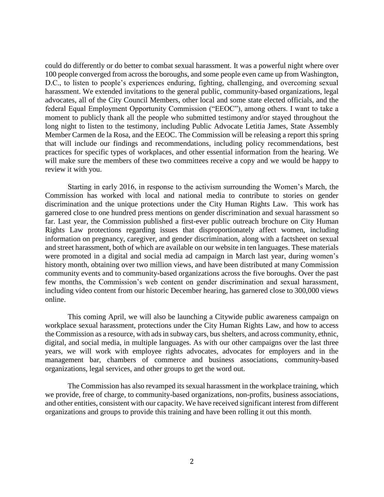could do differently or do better to combat sexual harassment. It was a powerful night where over 100 people converged from across the boroughs, and some people even came up from Washington, D.C., to listen to people's experiences enduring, fighting, challenging, and overcoming sexual harassment. We extended invitations to the general public, community-based organizations, legal advocates, all of the City Council Members, other local and some state elected officials, and the federal Equal Employment Opportunity Commission ("EEOC"), among others. I want to take a moment to publicly thank all the people who submitted testimony and/or stayed throughout the long night to listen to the testimony, including Public Advocate Letitia James, State Assembly Member Carmen de la Rosa, and the EEOC. The Commission will be releasing a report this spring that will include our findings and recommendations, including policy recommendations, best practices for specific types of workplaces, and other essential information from the hearing. We will make sure the members of these two committees receive a copy and we would be happy to review it with you.

Starting in early 2016, in response to the activism surrounding the Women's March, the Commission has worked with local and national media to contribute to stories on gender discrimination and the unique protections under the City Human Rights Law. This work has garnered close to one hundred press mentions on gender discrimination and sexual harassment so far. Last year, the Commission published a first-ever public outreach brochure on City Human Rights Law protections regarding issues that disproportionately affect women, including information on pregnancy, caregiver, and gender discrimination, along with a factsheet on sexual and street harassment, both of which are available on our website in ten languages. These materials were promoted in a digital and social media ad campaign in March last year, during women's history month, obtaining over two million views, and have been distributed at many Commission community events and to community-based organizations across the five boroughs. Over the past few months, the Commission's web content on gender discrimination and sexual harassment, including video content from our historic December hearing, has garnered close to 300,000 views online.

This coming April, we will also be launching a Citywide public awareness campaign on workplace sexual harassment, protections under the City Human Rights Law, and how to access the Commission as a resource, with ads in subway cars, bus shelters, and across community, ethnic, digital, and social media, in multiple languages. As with our other campaigns over the last three years, we will work with employee rights advocates, advocates for employers and in the management bar, chambers of commerce and business associations, community-based organizations, legal services, and other groups to get the word out.

The Commission has also revamped its sexual harassment in the workplace training, which we provide, free of charge, to community-based organizations, non-profits, business associations, and other entities, consistent with our capacity. We have received significant interest from different organizations and groups to provide this training and have been rolling it out this month.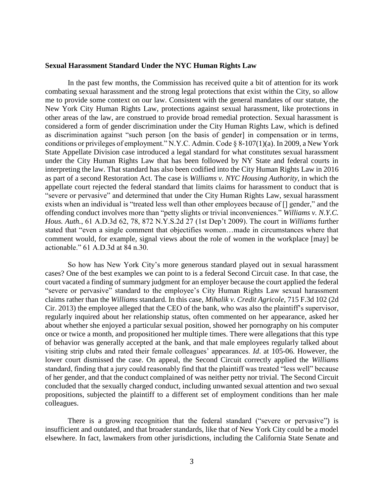## **Sexual Harassment Standard Under the NYC Human Rights Law**

In the past few months, the Commission has received quite a bit of attention for its work combating sexual harassment and the strong legal protections that exist within the City, so allow me to provide some context on our law. Consistent with the general mandates of our statute, the New York City Human Rights Law, protections against sexual harassment, like protections in other areas of the law, are construed to provide broad remedial protection. Sexual harassment is considered a form of gender discrimination under the City Human Rights Law, which is defined as discrimination against "such person [on the basis of gender] in compensation or in terms, conditions or privileges of employment." N.Y.C. Admin. Code § 8-107(1)(a). In 2009, a New York State Appellate Division case introduced a legal standard for what constitutes sexual harassment under the City Human Rights Law that has been followed by NY State and federal courts in interpreting the law. That standard has also been codified into the City Human Rights Law in 2016 as part of a second Restoration Act. The case is *Williams v. NYC Housing Authority*, in which the appellate court rejected the federal standard that limits claims for harassment to conduct that is "severe or pervasive" and determined that under the City Human Rights Law, sexual harassment exists when an individual is "treated less well than other employees because of [] gender," and the offending conduct involves more than "petty slights or trivial inconveniences." *Williams v. N.Y.C. Hous. Auth.*, 61 A.D.3d 62, 78, 872 N.Y.S.2d 27 (1st Dep't 2009). The court in *Williams* further stated that "even a single comment that objectifies women…made in circumstances where that comment would, for example, signal views about the role of women in the workplace [may] be actionable." 61 A.D.3d at 84 n.30.

So how has New York City's more generous standard played out in sexual harassment cases? One of the best examples we can point to is a federal Second Circuit case. In that case, the court vacated a finding of summary judgment for an employer because the court applied the federal "severe or pervasive" standard to the employee's City Human Rights Law sexual harassment claims rather than the *Williams* standard. In this case, *Mihalik v. Credit Agricole*, 715 F.3d 102 (2d Cir. 2013) the employee alleged that the CEO of the bank, who was also the plaintiff's supervisor, regularly inquired about her relationship status, often commented on her appearance, asked her about whether she enjoyed a particular sexual position, showed her pornography on his computer once or twice a month, and propositioned her multiple times. There were allegations that this type of behavior was generally accepted at the bank, and that male employees regularly talked about visiting strip clubs and rated their female colleagues' appearances. *Id*. at 105-06. However, the lower court dismissed the case. On appeal, the Second Circuit correctly applied the *Williams* standard, finding that a jury could reasonably find that the plaintiff was treated "less well" because of her gender, and that the conduct complained of was neither petty nor trivial. The Second Circuit concluded that the sexually charged conduct, including unwanted sexual attention and two sexual propositions, subjected the plaintiff to a different set of employment conditions than her male colleagues.

There is a growing recognition that the federal standard ("severe or pervasive") is insufficient and outdated, and that broader standards, like that of New York City could be a model elsewhere. In fact, lawmakers from other jurisdictions, including the California State Senate and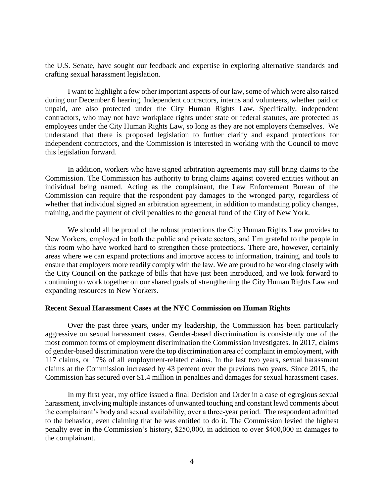the U.S. Senate, have sought our feedback and expertise in exploring alternative standards and crafting sexual harassment legislation.

I want to highlight a few other important aspects of our law, some of which were also raised during our December 6 hearing. Independent contractors, interns and volunteers, whether paid or unpaid, are also protected under the City Human Rights Law. Specifically, independent contractors, who may not have workplace rights under state or federal statutes, are protected as employees under the City Human Rights Law, so long as they are not employers themselves. We understand that there is proposed legislation to further clarify and expand protections for independent contractors, and the Commission is interested in working with the Council to move this legislation forward.

In addition, workers who have signed arbitration agreements may still bring claims to the Commission. The Commission has authority to bring claims against covered entities without an individual being named. Acting as the complainant, the Law Enforcement Bureau of the Commission can require that the respondent pay damages to the wronged party, regardless of whether that individual signed an arbitration agreement, in addition to mandating policy changes, training, and the payment of civil penalties to the general fund of the City of New York.

We should all be proud of the robust protections the City Human Rights Law provides to New Yorkers, employed in both the public and private sectors, and I'm grateful to the people in this room who have worked hard to strengthen those protections. There are, however, certainly areas where we can expand protections and improve access to information, training, and tools to ensure that employers more readily comply with the law. We are proud to be working closely with the City Council on the package of bills that have just been introduced, and we look forward to continuing to work together on our shared goals of strengthening the City Human Rights Law and expanding resources to New Yorkers.

## **Recent Sexual Harassment Cases at the NYC Commission on Human Rights**

Over the past three years, under my leadership, the Commission has been particularly aggressive on sexual harassment cases. Gender-based discrimination is consistently one of the most common forms of employment discrimination the Commission investigates. In 2017, claims of gender-based discrimination were the top discrimination area of complaint in employment, with 117 claims, or 17% of all employment-related claims. In the last two years, sexual harassment claims at the Commission increased by 43 percent over the previous two years. Since 2015, the Commission has secured over \$1.4 million in penalties and damages for sexual harassment cases.

In my first year, my office issued a final Decision and Order in a case of egregious sexual harassment, involving multiple instances of unwanted touching and constant lewd comments about the complainant's body and sexual availability, over a three-year period. The respondent admitted to the behavior, even claiming that he was entitled to do it. The Commission levied the highest penalty ever in the Commission's history, \$250,000, in addition to over \$400,000 in damages to the complainant.